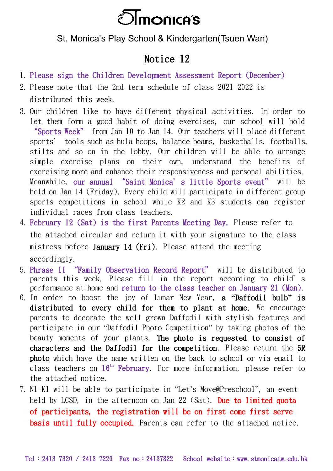

## St. Monica's Play School & Kindergarten(Tsuen Wan)

## Notice 12

- 1. Please sign the Children Development Assessment Report (December)
- 2. Please note that the 2nd term schedule of class 2021-2022 is distributed this week.
- 3. Our children like to have different physical activities. In order to let them form a good habit of doing exercises, our school will hold "Sports Week" from Jan 10 to Jan 14. Our teachers will place different sports' tools such as hula hoops, balance beams, basketballs, footballs, stilts and so on in the lobby. Our children will be able to arrange simple exercise plans on their own, understand the benefits of exercising more and enhance their responsiveness and personal abilities. Meanwhile, our annual "Saint Monica's little Sports event" will be held on Jan 14 (Friday). Every child will participate in different group sports competitions in school while K2 and K3 students can register individual races from class teachers.
- 4. February 12 (Sat) is the first Parents Meeting Day. Please refer to the attached circular and return it with your signature to the class mistress before January 14 (Fri). Please attend the meeting accordingly.
- 5. Phrase II "Family Observation Record Report" will be distributed to parents this week. Please fill in the report according to child's performance at home and return to the class teacher on January 21 (Mon).
- 6. In order to boost the joy of Lunar New Year, a **"**Daffodil bulb**"** is distributed to every child for them to plant at home. We encourage parents to decorate the well grown Daffodil with stylish features and participate in our "Daffodil Photo Competition" by taking photos of the beauty moments of your plants. The photo is requested to consist of characters and the Daffodil for the competition. Please return the  $5R$ photo which have the name written on the back to school or via email to class teachers on  $16<sup>th</sup>$  February. For more information, please refer to the attached notice.
- 7. N1-K1 will be able to participate in "Let's Move@Preschool", an event held by LCSD, in the afternoon on Jan 22 (Sat). Due to limited quota of participants, the registration will be on first come first serve basis until fully occupied. Parents can refer to the attached notice.